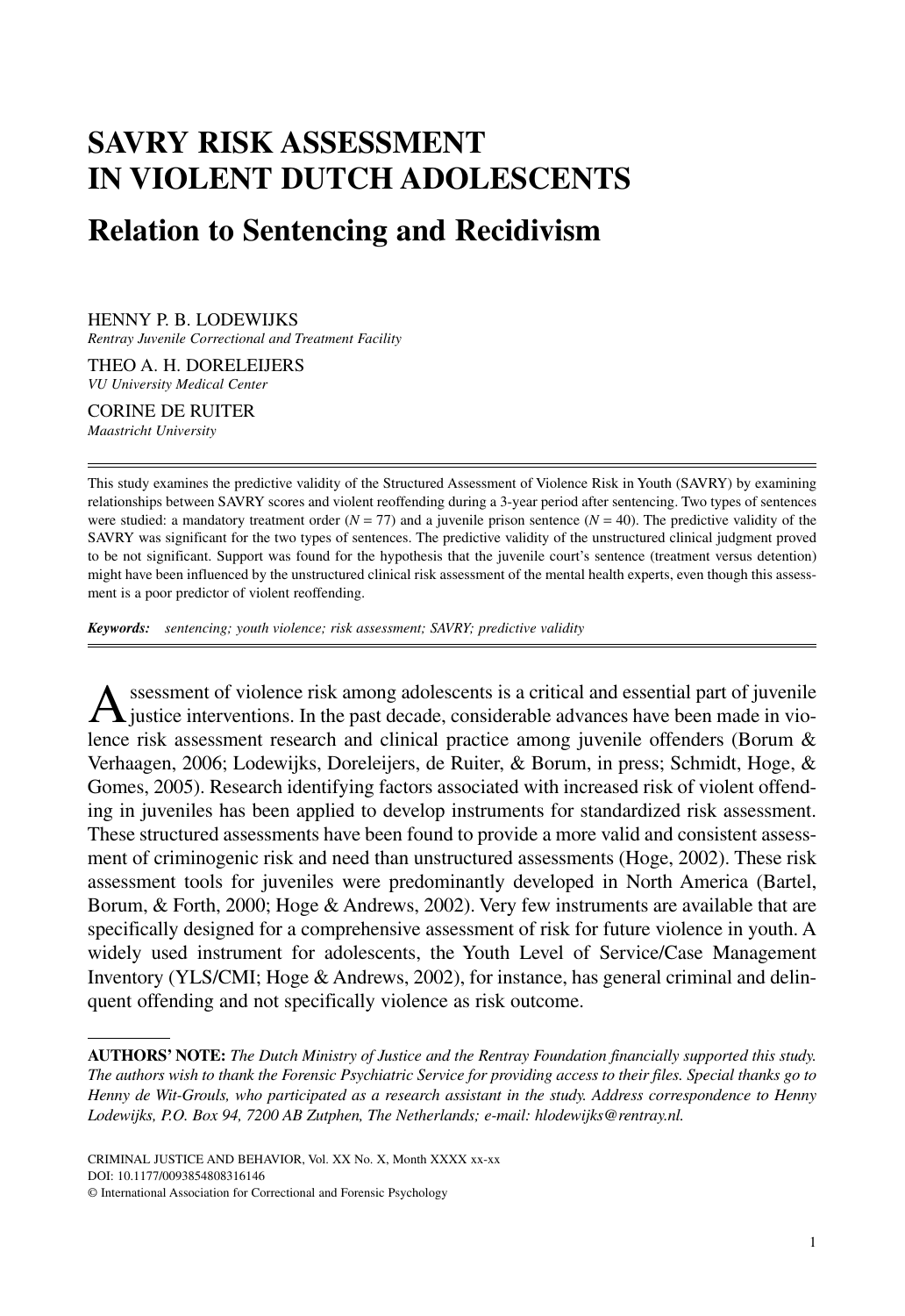# **SAVRY RISK ASSESSMENT IN VIOLENT DUTCH ADOLESCENTS Relation to Sentencing and Recidivism**

HENNY P. B. LODEWIJKS

*Rentray Juvenile Correctional and Treatment Facility*

THEO A. H. DORELEIJERS *VU University Medical Center*

CORINE DE RUITER *Maastricht University*

This study examines the predictive validity of the Structured Assessment of Violence Risk in Youth (SAVRY) by examining relationships between SAVRY scores and violent reoffending during a 3-year period after sentencing. Two types of sentences were studied: a mandatory treatment order  $(N = 77)$  and a juvenile prison sentence  $(N = 40)$ . The predictive validity of the SAVRY was significant for the two types of sentences. The predictive validity of the unstructured clinical judgment proved to be not significant. Support was found for the hypothesis that the juvenile court's sentence (treatment versus detention) might have been influenced by the unstructured clinical risk assessment of the mental health experts, even though this assessment is a poor predictor of violent reoffending.

*Keywords: sentencing; youth violence; risk assessment; SAVRY; predictive validity*

A ssessment of violence risk among adolescents is a critical and essential part of juvenile<br>justice interventions. In the past decade, considerable advances have been made in violence risk assessment research and clinical practice among juvenile offenders (Borum & Verhaagen, 2006; Lodewijks, Doreleijers, de Ruiter, & Borum, in press; Schmidt, Hoge, & Gomes, 2005). Research identifying factors associated with increased risk of violent offending in juveniles has been applied to develop instruments for standardized risk assessment. These structured assessments have been found to provide a more valid and consistent assessment of criminogenic risk and need than unstructured assessments (Hoge, 2002). These risk assessment tools for juveniles were predominantly developed in North America (Bartel, Borum, & Forth, 2000; Hoge & Andrews, 2002). Very few instruments are available that are specifically designed for a comprehensive assessment of risk for future violence in youth. A widely used instrument for adolescents, the Youth Level of Service/Case Management Inventory (YLS/CMI; Hoge & Andrews, 2002), for instance, has general criminal and delinquent offending and not specifically violence as risk outcome.

**AUTHORS' NOTE:** *The Dutch Ministry of Justice and the Rentray Foundation financially supported this study. The authors wish to thank the Forensic Psychiatric Service for providing access to their files. Special thanks go to Henny de Wit-Grouls, who participated as a research assistant in the study. Address correspondence to Henny Lodewijks, P.O. Box 94, 7200 AB Zutphen, The Netherlands; e-mail: hlodewijks@rentray.nl.*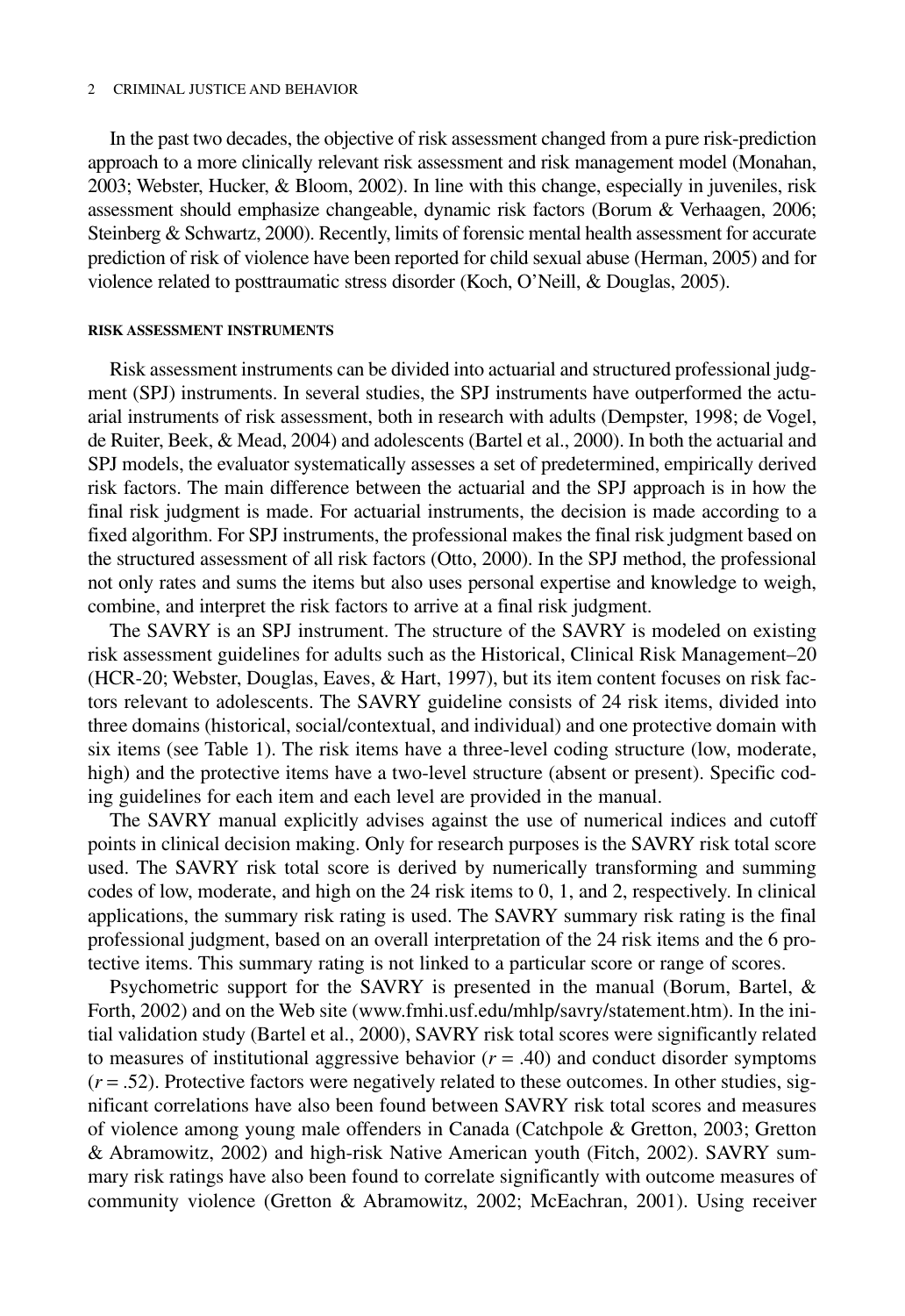#### 2 CRIMINAL JUSTICE AND BEHAVIOR

In the past two decades, the objective of risk assessment changed from a pure risk-prediction approach to a more clinically relevant risk assessment and risk management model (Monahan, 2003; Webster, Hucker, & Bloom, 2002). In line with this change, especially in juveniles, risk assessment should emphasize changeable, dynamic risk factors (Borum & Verhaagen, 2006; Steinberg & Schwartz, 2000). Recently, limits of forensic mental health assessment for accurate prediction of risk of violence have been reported for child sexual abuse (Herman, 2005) and for violence related to posttraumatic stress disorder (Koch, O'Neill, & Douglas, 2005).

#### **RISK ASSESSMENT INSTRUMENTS**

Risk assessment instruments can be divided into actuarial and structured professional judgment (SPJ) instruments. In several studies, the SPJ instruments have outperformed the actuarial instruments of risk assessment, both in research with adults (Dempster, 1998; de Vogel, de Ruiter, Beek, & Mead, 2004) and adolescents (Bartel et al., 2000). In both the actuarial and SPJ models, the evaluator systematically assesses a set of predetermined, empirically derived risk factors. The main difference between the actuarial and the SPJ approach is in how the final risk judgment is made. For actuarial instruments, the decision is made according to a fixed algorithm. For SPJ instruments, the professional makes the final risk judgment based on the structured assessment of all risk factors (Otto, 2000). In the SPJ method, the professional not only rates and sums the items but also uses personal expertise and knowledge to weigh, combine, and interpret the risk factors to arrive at a final risk judgment.

The SAVRY is an SPJ instrument. The structure of the SAVRY is modeled on existing risk assessment guidelines for adults such as the Historical, Clinical Risk Management–20 (HCR-20; Webster, Douglas, Eaves, & Hart, 1997), but its item content focuses on risk factors relevant to adolescents. The SAVRY guideline consists of 24 risk items, divided into three domains (historical, social/contextual, and individual) and one protective domain with six items (see Table 1). The risk items have a three-level coding structure (low, moderate, high) and the protective items have a two-level structure (absent or present). Specific coding guidelines for each item and each level are provided in the manual.

The SAVRY manual explicitly advises against the use of numerical indices and cutoff points in clinical decision making. Only for research purposes is the SAVRY risk total score used. The SAVRY risk total score is derived by numerically transforming and summing codes of low, moderate, and high on the 24 risk items to 0, 1, and 2, respectively. In clinical applications, the summary risk rating is used. The SAVRY summary risk rating is the final professional judgment, based on an overall interpretation of the 24 risk items and the 6 protective items. This summary rating is not linked to a particular score or range of scores.

Psychometric support for the SAVRY is presented in the manual (Borum, Bartel, & Forth, 2002) and on the Web site (www.fmhi.usf.edu/mhlp/savry/statement.htm). In the initial validation study (Bartel et al., 2000), SAVRY risk total scores were significantly related to measures of institutional aggressive behavior  $(r = .40)$  and conduct disorder symptoms  $(r = .52)$ . Protective factors were negatively related to these outcomes. In other studies, significant correlations have also been found between SAVRY risk total scores and measures of violence among young male offenders in Canada (Catchpole & Gretton, 2003; Gretton & Abramowitz, 2002) and high-risk Native American youth (Fitch, 2002). SAVRY summary risk ratings have also been found to correlate significantly with outcome measures of community violence (Gretton & Abramowitz, 2002; McEachran, 2001). Using receiver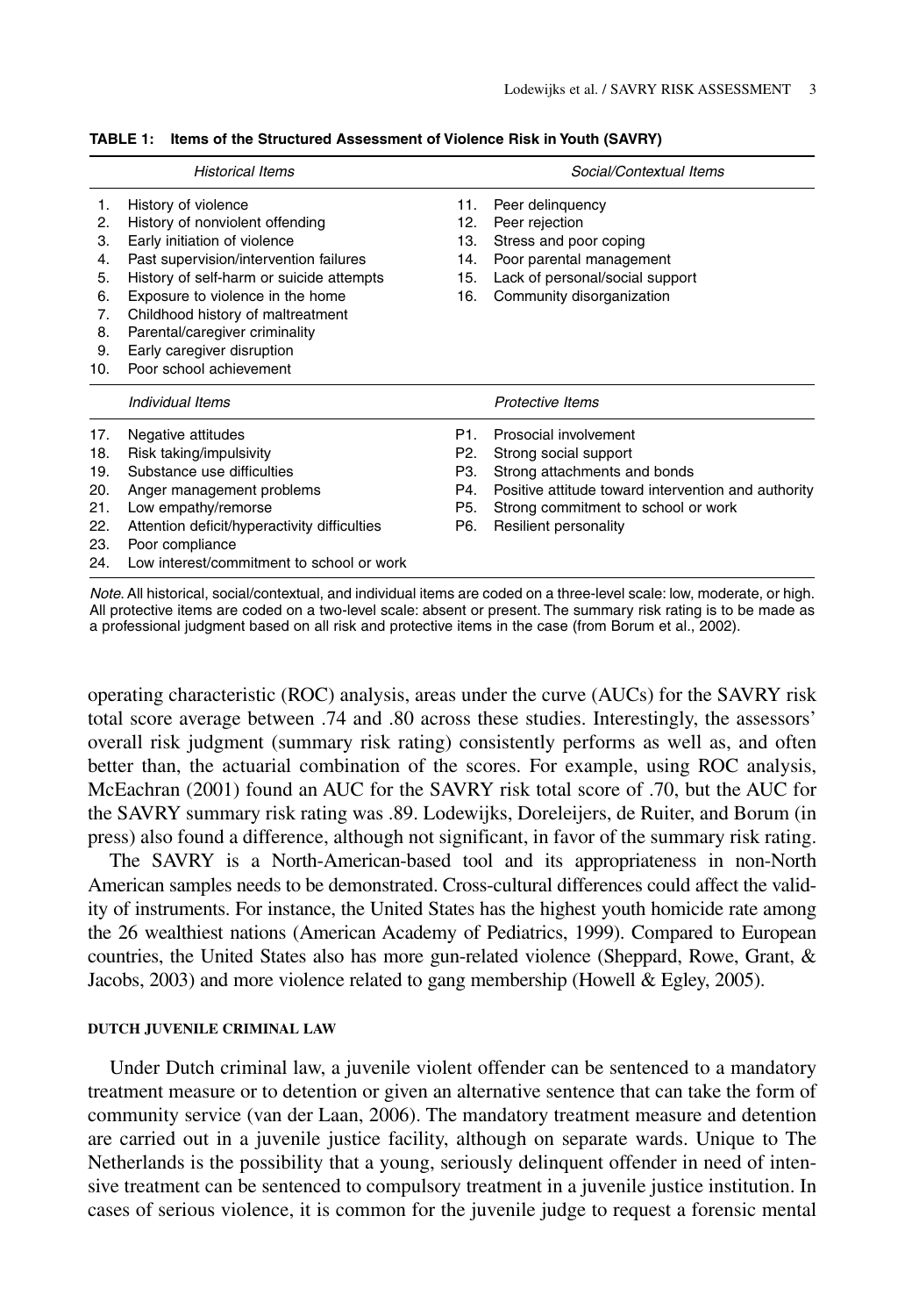|     | <b>Historical Items</b>                      |     | Social/Contextual Items                             |
|-----|----------------------------------------------|-----|-----------------------------------------------------|
| 1.  | History of violence                          | 11. | Peer delinguency                                    |
| 2.  | History of nonviolent offending              | 12. | Peer rejection                                      |
| З.  | Early initiation of violence                 | 13. | Stress and poor coping                              |
| 4.  | Past supervision/intervention failures       | 14. | Poor parental management                            |
| 5.  | History of self-harm or suicide attempts     | 15. | Lack of personal/social support                     |
| 6.  | Exposure to violence in the home             | 16. | Community disorganization                           |
| 7.  | Childhood history of maltreatment            |     |                                                     |
| 8.  | Parental/caregiver criminality               |     |                                                     |
| 9.  | Early caregiver disruption                   |     |                                                     |
| 10. | Poor school achievement                      |     |                                                     |
|     | Individual Items                             |     | Protective Items                                    |
| 17. | Negative attitudes                           | P1. | Prosocial involvement                               |
| 18. | Risk taking/impulsivity                      | P2. | Strong social support                               |
| 19. | Substance use difficulties                   | P3. | Strong attachments and bonds                        |
| 20. | Anger management problems                    | P4. | Positive attitude toward intervention and authority |
| 21. | Low empathy/remorse                          | P5. | Strong commitment to school or work                 |
| 22. | Attention deficit/hyperactivity difficulties | P6. | Resilient personality                               |
| 23. | Poor compliance                              |     |                                                     |
| 24. | Low interest/commitment to school or work    |     |                                                     |

|  | TABLE 1: Items of the Structured Assessment of Violence Risk in Youth (SAVRY) |  |
|--|-------------------------------------------------------------------------------|--|
|--|-------------------------------------------------------------------------------|--|

Note. All historical, social/contextual, and individual items are coded on a three-level scale: low, moderate, or high. All protective items are coded on a two-level scale: absent or present. The summary risk rating is to be made as a professional judgment based on all risk and protective items in the case (from Borum et al., 2002).

operating characteristic (ROC) analysis, areas under the curve (AUCs) for the SAVRY risk total score average between .74 and .80 across these studies. Interestingly, the assessors' overall risk judgment (summary risk rating) consistently performs as well as, and often better than, the actuarial combination of the scores. For example, using ROC analysis, McEachran (2001) found an AUC for the SAVRY risk total score of .70, but the AUC for the SAVRY summary risk rating was .89. Lodewijks, Doreleijers, de Ruiter, and Borum (in press) also found a difference, although not significant, in favor of the summary risk rating.

The SAVRY is a North-American-based tool and its appropriateness in non-North American samples needs to be demonstrated. Cross-cultural differences could affect the validity of instruments. For instance, the United States has the highest youth homicide rate among the 26 wealthiest nations (American Academy of Pediatrics, 1999). Compared to European countries, the United States also has more gun-related violence (Sheppard, Rowe, Grant, & Jacobs, 2003) and more violence related to gang membership (Howell & Egley, 2005).

# **DUTCH JUVENILE CRIMINAL LAW**

Under Dutch criminal law, a juvenile violent offender can be sentenced to a mandatory treatment measure or to detention or given an alternative sentence that can take the form of community service (van der Laan, 2006). The mandatory treatment measure and detention are carried out in a juvenile justice facility, although on separate wards. Unique to The Netherlands is the possibility that a young, seriously delinquent offender in need of intensive treatment can be sentenced to compulsory treatment in a juvenile justice institution. In cases of serious violence, it is common for the juvenile judge to request a forensic mental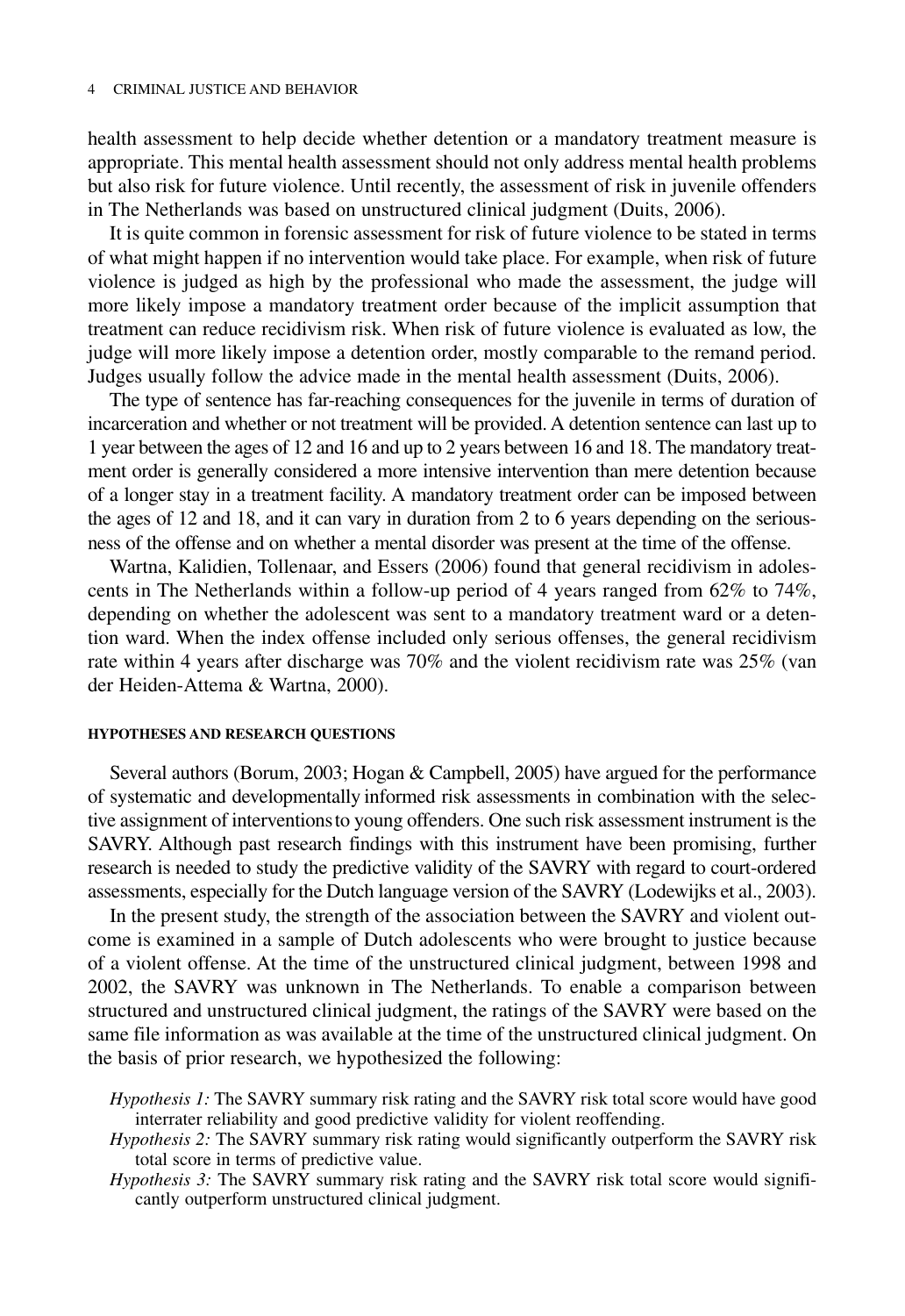health assessment to help decide whether detention or a mandatory treatment measure is appropriate. This mental health assessment should not only address mental health problems but also risk for future violence. Until recently, the assessment of risk in juvenile offenders in The Netherlands was based on unstructured clinical judgment (Duits, 2006).

It is quite common in forensic assessment for risk of future violence to be stated in terms of what might happen if no intervention would take place. For example, when risk of future violence is judged as high by the professional who made the assessment, the judge will more likely impose a mandatory treatment order because of the implicit assumption that treatment can reduce recidivism risk. When risk of future violence is evaluated as low, the judge will more likely impose a detention order, mostly comparable to the remand period. Judges usually follow the advice made in the mental health assessment (Duits, 2006).

The type of sentence has far-reaching consequences for the juvenile in terms of duration of incarceration and whether or not treatment will be provided. A detention sentence can last up to 1 year between the ages of 12 and 16 and up to 2 years between 16 and 18. The mandatory treatment order is generally considered a more intensive intervention than mere detention because of a longer stay in a treatment facility. A mandatory treatment order can be imposed between the ages of 12 and 18, and it can vary in duration from 2 to 6 years depending on the seriousness of the offense and on whether a mental disorder was present at the time of the offense.

Wartna, Kalidien, Tollenaar, and Essers (2006) found that general recidivism in adolescents in The Netherlands within a follow-up period of 4 years ranged from 62% to 74%, depending on whether the adolescent was sent to a mandatory treatment ward or a detention ward. When the index offense included only serious offenses, the general recidivism rate within 4 years after discharge was 70% and the violent recidivism rate was 25% (van der Heiden-Attema & Wartna, 2000).

## **HYPOTHESES AND RESEARCH QUESTIONS**

Several authors (Borum, 2003; Hogan & Campbell, 2005) have argued for the performance of systematic and developmentally informed risk assessments in combination with the selective assignment of interventionsto young offenders. One such risk assessment instrument is the SAVRY. Although past research findings with this instrument have been promising, further research is needed to study the predictive validity of the SAVRY with regard to court-ordered assessments, especially for the Dutch language version of the SAVRY (Lodewijks et al., 2003).

In the present study, the strength of the association between the SAVRY and violent outcome is examined in a sample of Dutch adolescents who were brought to justice because of a violent offense. At the time of the unstructured clinical judgment, between 1998 and 2002, the SAVRY was unknown in The Netherlands. To enable a comparison between structured and unstructured clinical judgment, the ratings of the SAVRY were based on the same file information as was available at the time of the unstructured clinical judgment. On the basis of prior research, we hypothesized the following:

- *Hypothesis 1:* The SAVRY summary risk rating and the SAVRY risk total score would have good interrater reliability and good predictive validity for violent reoffending.
- *Hypothesis 2:* The SAVRY summary risk rating would significantly outperform the SAVRY risk total score in terms of predictive value.
- *Hypothesis 3:* The SAVRY summary risk rating and the SAVRY risk total score would significantly outperform unstructured clinical judgment.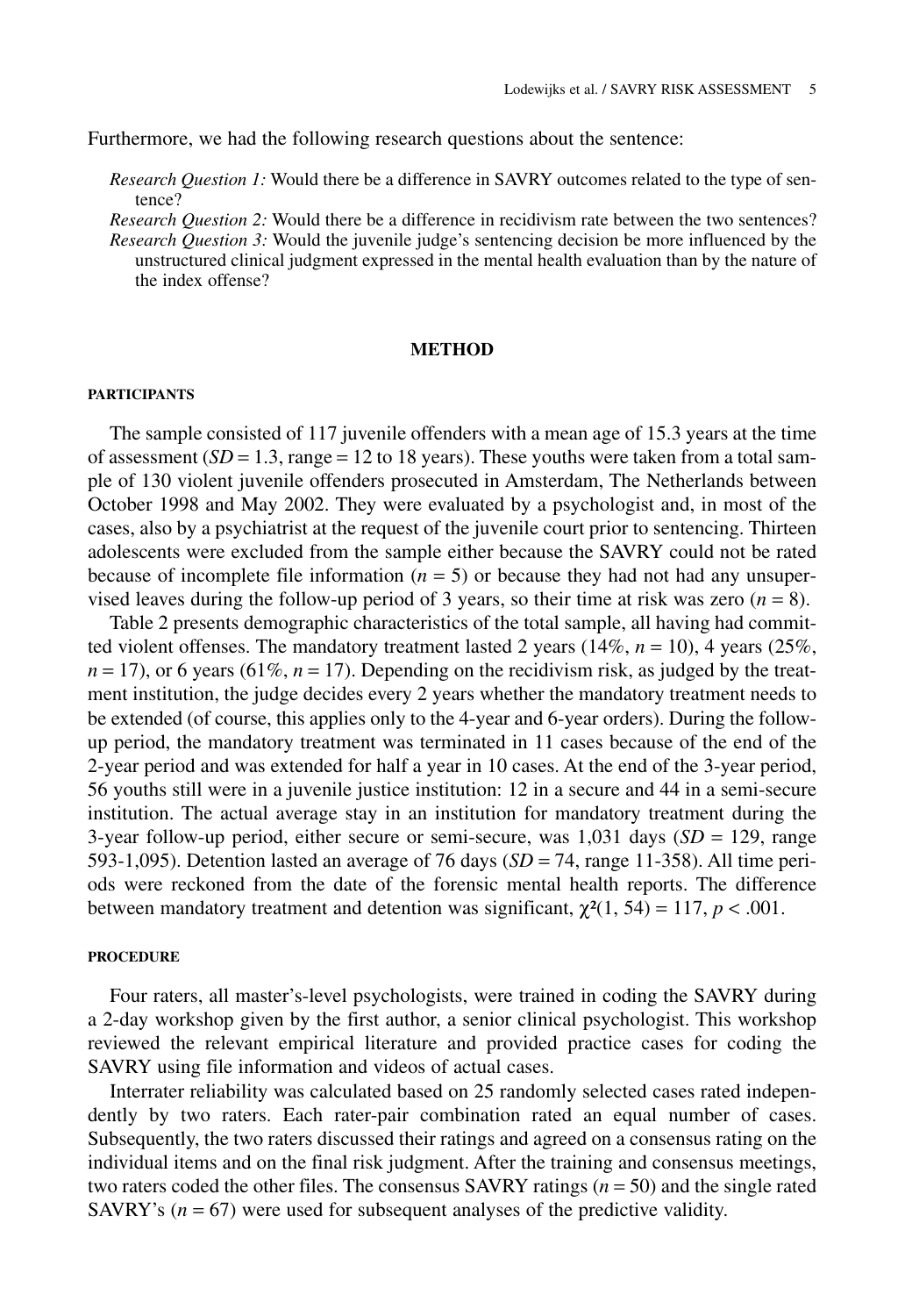Furthermore, we had the following research questions about the sentence:

*Research Question 1:* Would there be a difference in SAVRY outcomes related to the type of sentence?

*Research Question 2:* Would there be a difference in recidivism rate between the two sentences? *Research Question 3:* Would the juvenile judge's sentencing decision be more influenced by the unstructured clinical judgment expressed in the mental health evaluation than by the nature of the index offense?

## **METHOD**

#### **PARTICIPANTS**

The sample consisted of 117 juvenile offenders with a mean age of 15.3 years at the time of assessment  $(SD = 1.3$ , range  $= 12$  to 18 years). These youths were taken from a total sample of 130 violent juvenile offenders prosecuted in Amsterdam, The Netherlands between October 1998 and May 2002. They were evaluated by a psychologist and, in most of the cases, also by a psychiatrist at the request of the juvenile court prior to sentencing. Thirteen adolescents were excluded from the sample either because the SAVRY could not be rated because of incomplete file information  $(n = 5)$  or because they had not had any unsupervised leaves during the follow-up period of 3 years, so their time at risk was zero  $(n = 8)$ .

Table 2 presents demographic characteristics of the total sample, all having had committed violent offenses. The mandatory treatment lasted 2 years  $(14\%, n = 10)$ , 4 years  $(25\%,$  $n = 17$ ), or 6 years (61%,  $n = 17$ ). Depending on the recidivism risk, as judged by the treatment institution, the judge decides every 2 years whether the mandatory treatment needs to be extended (of course, this applies only to the 4-year and 6-year orders). During the followup period, the mandatory treatment was terminated in 11 cases because of the end of the 2-year period and was extended for half a year in 10 cases. At the end of the 3-year period, 56 youths still were in a juvenile justice institution: 12 in a secure and 44 in a semi-secure institution. The actual average stay in an institution for mandatory treatment during the 3-year follow-up period, either secure or semi-secure, was  $1,031$  days ( $SD = 129$ , range 593-1,095). Detention lasted an average of 76 days ( $SD = 74$ , range 11-358). All time periods were reckoned from the date of the forensic mental health reports. The difference between mandatory treatment and detention was significant,  $\chi^2(1, 54) = 117$ ,  $p < .001$ .

## **PROCEDURE**

Four raters, all master's-level psychologists, were trained in coding the SAVRY during a 2-day workshop given by the first author, a senior clinical psychologist. This workshop reviewed the relevant empirical literature and provided practice cases for coding the SAVRY using file information and videos of actual cases.

Interrater reliability was calculated based on 25 randomly selected cases rated independently by two raters. Each rater-pair combination rated an equal number of cases. Subsequently, the two raters discussed their ratings and agreed on a consensus rating on the individual items and on the final risk judgment. After the training and consensus meetings, two raters coded the other files. The consensus SAVRY ratings (*n* = 50) and the single rated SAVRY's  $(n = 67)$  were used for subsequent analyses of the predictive validity.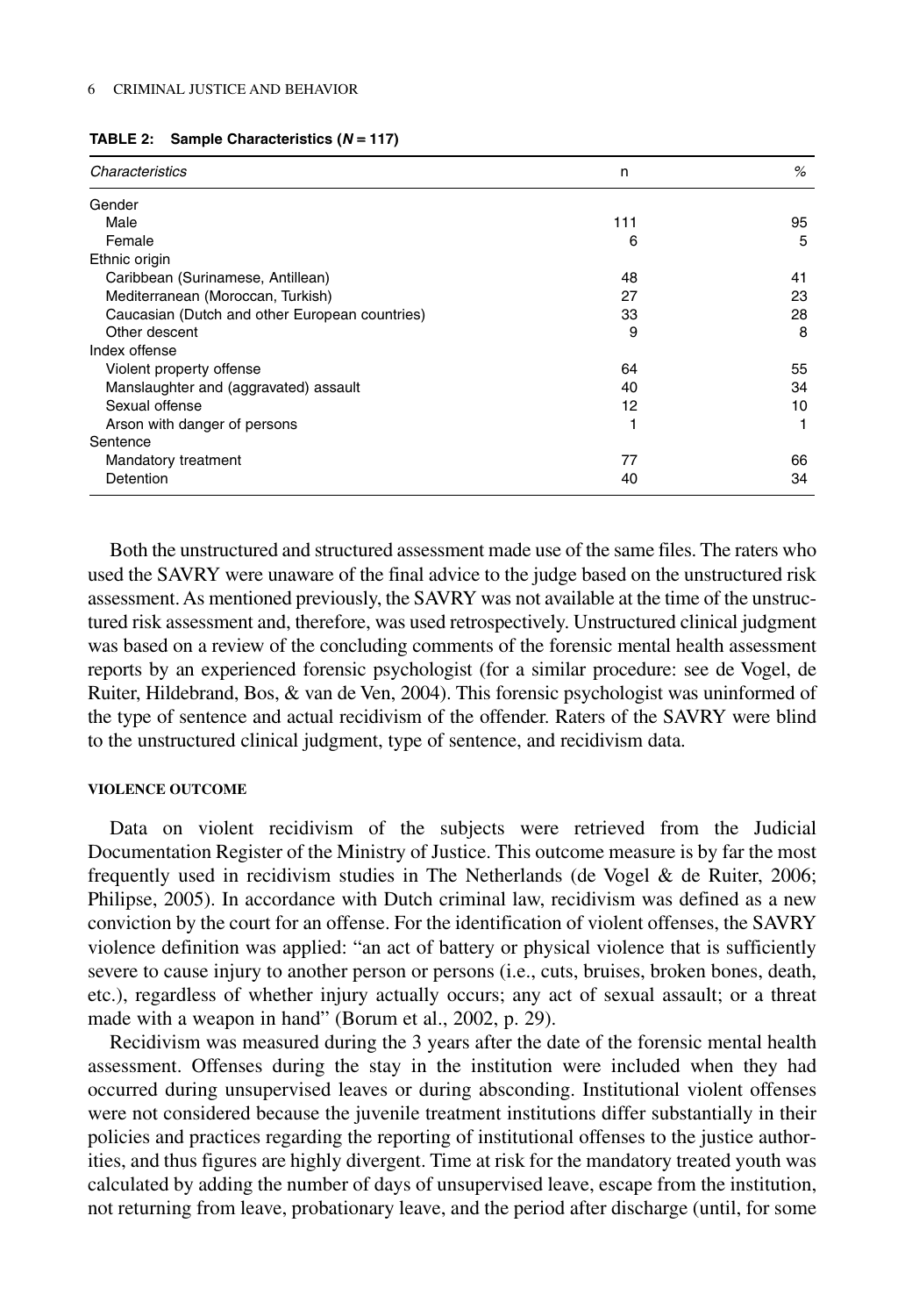| Characteristics                                | n   | $\%$ |
|------------------------------------------------|-----|------|
| Gender                                         |     |      |
| Male                                           | 111 | 95   |
| Female                                         | 6   | 5    |
| Ethnic origin                                  |     |      |
| Caribbean (Surinamese, Antillean)              | 48  | 41   |
| Mediterranean (Moroccan, Turkish)              | 27  | 23   |
| Caucasian (Dutch and other European countries) | 33  | 28   |
| Other descent                                  | 9   | 8    |
| Index offense                                  |     |      |
| Violent property offense                       | 64  | 55   |
| Manslaughter and (aggravated) assault          | 40  | 34   |
| Sexual offense                                 | 12  | 10   |
| Arson with danger of persons                   |     |      |
| Sentence                                       |     |      |
| Mandatory treatment                            | 77  | 66   |
| Detention                                      | 40  | 34   |

|  |  | <b>TABLE 2:</b> Sample Characteristics $(N = 117)$ |  |
|--|--|----------------------------------------------------|--|
|--|--|----------------------------------------------------|--|

Both the unstructured and structured assessment made use of the same files. The raters who used the SAVRY were unaware of the final advice to the judge based on the unstructured risk assessment. As mentioned previously, the SAVRY was not available at the time of the unstructured risk assessment and, therefore, was used retrospectively. Unstructured clinical judgment was based on a review of the concluding comments of the forensic mental health assessment reports by an experienced forensic psychologist (for a similar procedure: see de Vogel, de Ruiter, Hildebrand, Bos, & van de Ven, 2004). This forensic psychologist was uninformed of the type of sentence and actual recidivism of the offender. Raters of the SAVRY were blind to the unstructured clinical judgment, type of sentence, and recidivism data.

#### **VIOLENCE OUTCOME**

Data on violent recidivism of the subjects were retrieved from the Judicial Documentation Register of the Ministry of Justice. This outcome measure is by far the most frequently used in recidivism studies in The Netherlands (de Vogel & de Ruiter, 2006; Philipse, 2005). In accordance with Dutch criminal law, recidivism was defined as a new conviction by the court for an offense. For the identification of violent offenses, the SAVRY violence definition was applied: "an act of battery or physical violence that is sufficiently severe to cause injury to another person or persons (i.e., cuts, bruises, broken bones, death, etc.), regardless of whether injury actually occurs; any act of sexual assault; or a threat made with a weapon in hand" (Borum et al., 2002, p. 29).

Recidivism was measured during the 3 years after the date of the forensic mental health assessment. Offenses during the stay in the institution were included when they had occurred during unsupervised leaves or during absconding. Institutional violent offenses were not considered because the juvenile treatment institutions differ substantially in their policies and practices regarding the reporting of institutional offenses to the justice authorities, and thus figures are highly divergent. Time at risk for the mandatory treated youth was calculated by adding the number of days of unsupervised leave, escape from the institution, not returning from leave, probationary leave, and the period after discharge (until, for some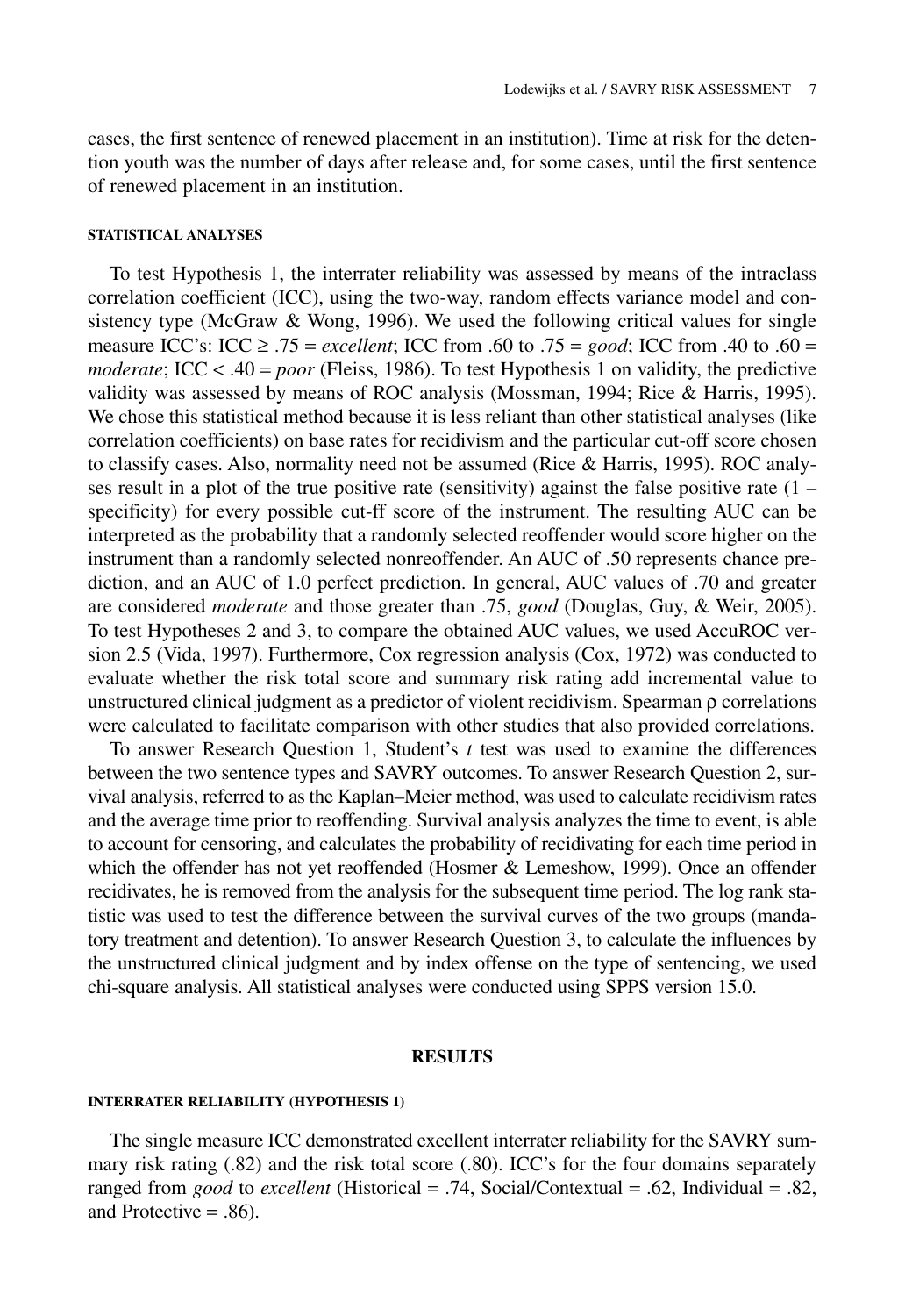cases, the first sentence of renewed placement in an institution). Time at risk for the detention youth was the number of days after release and, for some cases, until the first sentence of renewed placement in an institution.

# **STATISTICAL ANALYSES**

To test Hypothesis 1, the interrater reliability was assessed by means of the intraclass correlation coefficient (ICC), using the two-way, random effects variance model and consistency type (McGraw & Wong, 1996). We used the following critical values for single measure ICC's: ICC ≥ .75 = *excellent*; ICC from .60 to .75 = *good*; ICC from .40 to .60 = *moderate*; ICC < .40 = *poor* (Fleiss, 1986). To test Hypothesis 1 on validity, the predictive validity was assessed by means of ROC analysis (Mossman, 1994; Rice & Harris, 1995). We chose this statistical method because it is less reliant than other statistical analyses (like correlation coefficients) on base rates for recidivism and the particular cut-off score chosen to classify cases. Also, normality need not be assumed (Rice  $\&$  Harris, 1995). ROC analyses result in a plot of the true positive rate (sensitivity) against the false positive rate  $(1$ specificity) for every possible cut-ff score of the instrument. The resulting AUC can be interpreted as the probability that a randomly selected reoffender would score higher on the instrument than a randomly selected nonreoffender. An AUC of .50 represents chance prediction, and an AUC of 1.0 perfect prediction. In general, AUC values of .70 and greater are considered *moderate* and those greater than .75, *good* (Douglas, Guy, & Weir, 2005). To test Hypotheses 2 and 3, to compare the obtained AUC values, we used AccuROC version 2.5 (Vida, 1997). Furthermore, Cox regression analysis (Cox, 1972) was conducted to evaluate whether the risk total score and summary risk rating add incremental value to unstructured clinical judgment as a predictor of violent recidivism. Spearman ρ correlations were calculated to facilitate comparison with other studies that also provided correlations.

To answer Research Question 1, Student's *t* test was used to examine the differences between the two sentence types and SAVRY outcomes. To answer Research Question 2, survival analysis, referred to as the Kaplan–Meier method, was used to calculate recidivism rates and the average time prior to reoffending. Survival analysis analyzes the time to event, is able to account for censoring, and calculates the probability of recidivating for each time period in which the offender has not yet reoffended (Hosmer & Lemeshow, 1999). Once an offender recidivates, he is removed from the analysis for the subsequent time period. The log rank statistic was used to test the difference between the survival curves of the two groups (mandatory treatment and detention). To answer Research Question 3, to calculate the influences by the unstructured clinical judgment and by index offense on the type of sentencing, we used chi-square analysis. All statistical analyses were conducted using SPPS version 15.0.

## **RESULTS**

#### **INTERRATER RELIABILITY (HYPOTHESIS 1)**

The single measure ICC demonstrated excellent interrater reliability for the SAVRY summary risk rating (.82) and the risk total score (.80). ICC's for the four domains separately ranged from *good* to *excellent* (Historical = .74, Social/Contextual = .62, Individual = .82, and Protective = .86).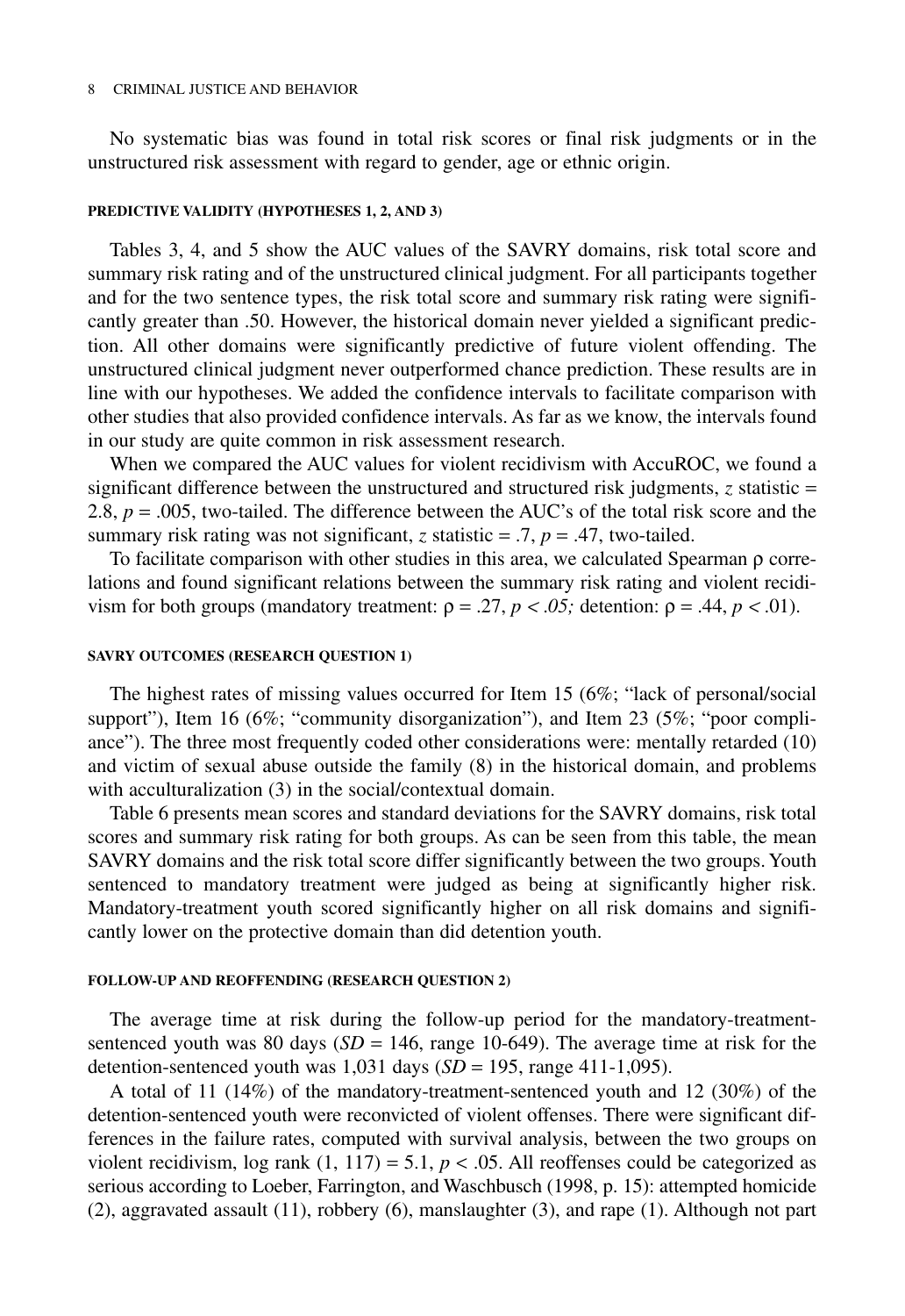#### 8 CRIMINAL JUSTICE AND BEHAVIOR

No systematic bias was found in total risk scores or final risk judgments or in the unstructured risk assessment with regard to gender, age or ethnic origin.

# **PREDICTIVE VALIDITY (HYPOTHESES 1, 2, AND 3)**

Tables 3, 4, and 5 show the AUC values of the SAVRY domains, risk total score and summary risk rating and of the unstructured clinical judgment. For all participants together and for the two sentence types, the risk total score and summary risk rating were significantly greater than .50. However, the historical domain never yielded a significant prediction. All other domains were significantly predictive of future violent offending. The unstructured clinical judgment never outperformed chance prediction. These results are in line with our hypotheses. We added the confidence intervals to facilitate comparison with other studies that also provided confidence intervals. As far as we know, the intervals found in our study are quite common in risk assessment research.

When we compared the AUC values for violent recidivism with AccuROC, we found a significant difference between the unstructured and structured risk judgments,  $\zeta$  statistic = 2.8,  $p = .005$ , two-tailed. The difference between the AUC's of the total risk score and the summary risk rating was not significant, *z* statistic = .7,  $p = .47$ , two-tailed.

To facilitate comparison with other studies in this area, we calculated Spearman ρ correlations and found significant relations between the summary risk rating and violent recidivism for both groups (mandatory treatment:  $\rho = .27$ ,  $p < .05$ ; detention:  $\rho = .44$ ,  $p < .01$ ).

# **SAVRY OUTCOMES (RESEARCH QUESTION 1)**

The highest rates of missing values occurred for Item 15 (6%; "lack of personal/social support"), Item 16 (6%; "community disorganization"), and Item 23 (5%; "poor compliance"). The three most frequently coded other considerations were: mentally retarded (10) and victim of sexual abuse outside the family (8) in the historical domain, and problems with acculturalization (3) in the social/contextual domain.

Table 6 presents mean scores and standard deviations for the SAVRY domains, risk total scores and summary risk rating for both groups. As can be seen from this table, the mean SAVRY domains and the risk total score differ significantly between the two groups. Youth sentenced to mandatory treatment were judged as being at significantly higher risk. Mandatory-treatment youth scored significantly higher on all risk domains and significantly lower on the protective domain than did detention youth.

# **FOLLOW-UP AND REOFFENDING (RESEARCH QUESTION 2)**

The average time at risk during the follow-up period for the mandatory-treatmentsentenced youth was 80 days  $(SD = 146)$ , range 10-649). The average time at risk for the detention-sentenced youth was  $1,031$  days  $(SD = 195, \text{ range } 411-1,095)$ .

A total of 11 (14%) of the mandatory-treatment-sentenced youth and 12 (30%) of the detention-sentenced youth were reconvicted of violent offenses. There were significant differences in the failure rates, computed with survival analysis, between the two groups on violent recidivism, log rank  $(1, 117) = 5.1$ ,  $p < .05$ . All reoffenses could be categorized as serious according to Loeber, Farrington, and Waschbusch (1998, p. 15): attempted homicide (2), aggravated assault (11), robbery (6), manslaughter (3), and rape (1). Although not part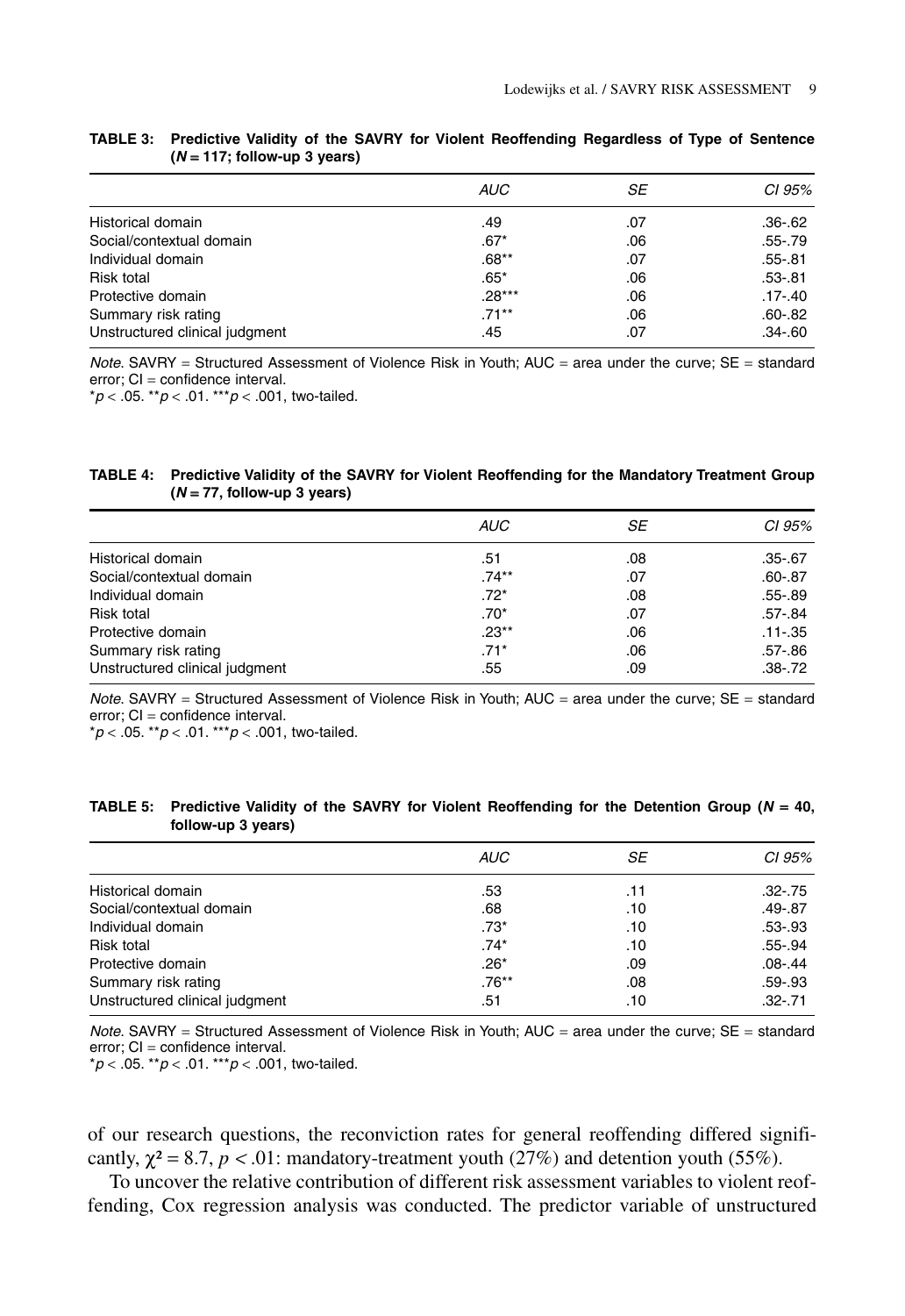|                                | <b>AUC</b> | SE  | CI 95%      |
|--------------------------------|------------|-----|-------------|
| Historical domain              | .49        | .07 | .36-.62     |
| Social/contextual domain       | $.67*$     | .06 | $.55-.79$   |
| Individual domain              | $.68**$    | .07 | $.55 - .81$ |
| <b>Risk total</b>              | $.65*$     | .06 | .53-.81     |
| Protective domain              | $.28***$   | .06 | .17-.40     |
| Summary risk rating            | $.71***$   | .06 | $.60 - .82$ |
| Unstructured clinical judgment | .45        | .07 | $.34 - .60$ |

**TABLE 3: Predictive Validity of the SAVRY for Violent Reoffending Regardless of Type of Sentence (N** = **117; follow-up 3 years)**

Note. SAVRY = Structured Assessment of Violence Risk in Youth; AUC = area under the curve; SE = standard error; CI = confidence interval.

 $*p < .05$ .  $*p < .01$ .  $**p < .001$ , two-tailed.

#### **TABLE 4: Predictive Validity of the SAVRY for Violent Reoffending for the Mandatory Treatment Group (N** = **77, follow-up 3 years)**

| <b>AUC</b> | SE  | CI 95%      |
|------------|-----|-------------|
| .51        | .08 | $.35 - .67$ |
| $.74***$   | .07 | $.60 - .87$ |
| $.72*$     | .08 | $.55 - .89$ |
| $.70*$     | .07 | .57-.84     |
| $.23**$    | .06 | $.11 - .35$ |
| $.71*$     | .06 | .57-.86     |
| .55        | .09 | $.38 - .72$ |
|            |     |             |

Note. SAVRY = Structured Assessment of Violence Risk in Youth; AUC = area under the curve; SE = standard error; CI = confidence interval.

 $*p < .05$ .  $*p < .01$ .  $**p < .001$ , two-tailed.

| TABLE 5: Predictive Validity of the SAVRY for Violent Reoffending for the Detention Group ( $N = 40$ , |  |  |  |  |
|--------------------------------------------------------------------------------------------------------|--|--|--|--|
| follow-up 3 years)                                                                                     |  |  |  |  |

| <b>AUC</b> | SE  | CI 95%      |
|------------|-----|-------------|
| .53        | .11 | $.32 - .75$ |
| .68        | .10 | $.49 - .87$ |
| $.73*$     | .10 | $.53 - .93$ |
| $.74*$     | .10 | .55-.94     |
| $.26*$     | .09 | $.08 - .44$ |
| $.76***$   | .08 | .59-.93     |
| .51        | .10 | $.32 - .71$ |
|            |     |             |

Note. SAVRY = Structured Assessment of Violence Risk in Youth; AUC = area under the curve; SE = standard error; CI = confidence interval.

 $*p < .05$ .  $*p < .01$ .  $**p < .001$ , two-tailed.

of our research questions, the reconviction rates for general reoffending differed significantly,  $\chi^2 = 8.7$ ,  $p < .01$ : mandatory-treatment youth (27%) and detention youth (55%).

To uncover the relative contribution of different risk assessment variables to violent reoffending, Cox regression analysis was conducted. The predictor variable of unstructured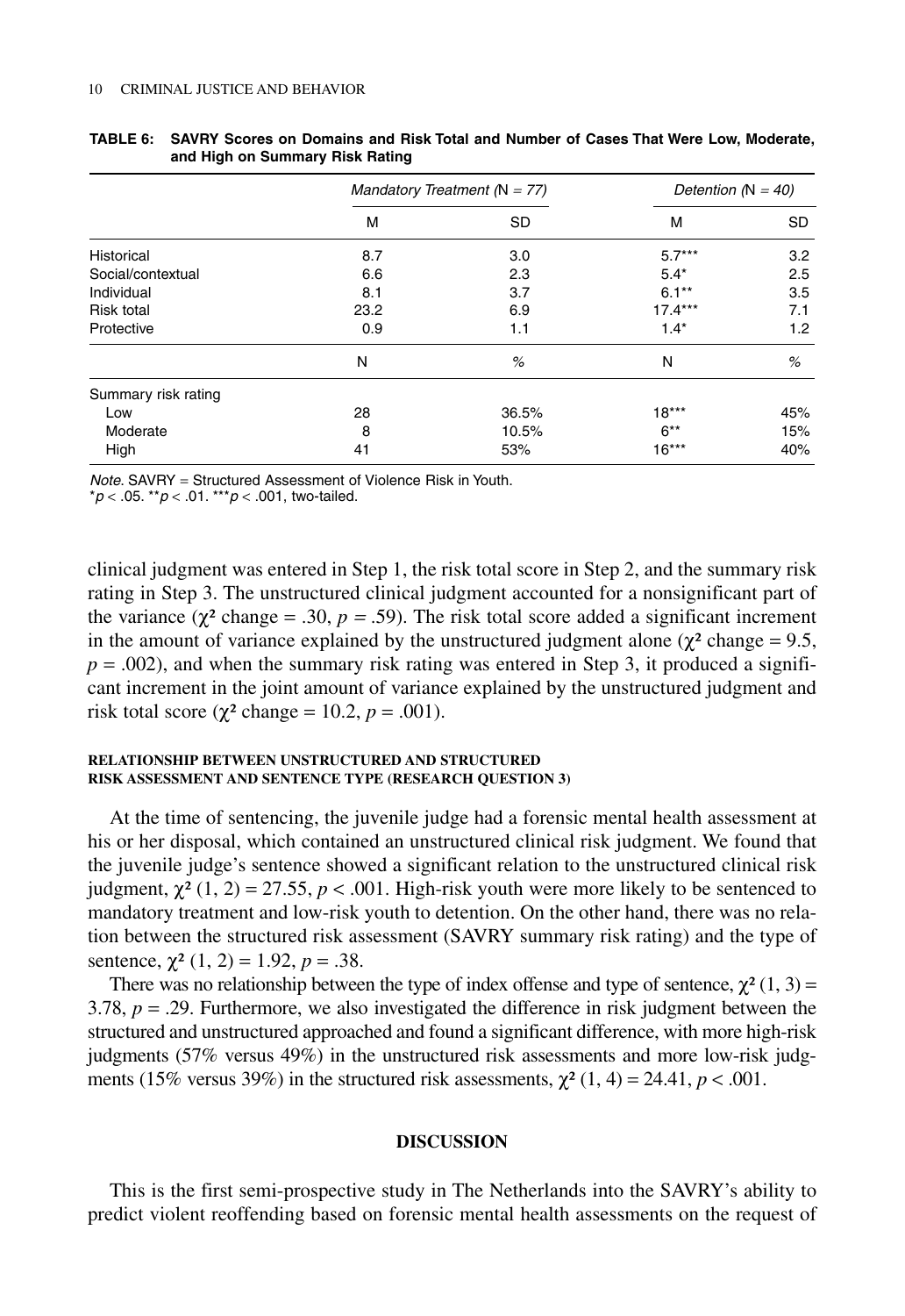|                     | Mandatory Treatment ( $N = 77$ ) |       | Detention ( $N = 40$ ) |     |
|---------------------|----------------------------------|-------|------------------------|-----|
|                     | M                                | SD    | M                      | SD. |
| Historical          | 8.7                              | 3.0   | $5.7***$               | 3.2 |
| Social/contextual   | 6.6                              | 2.3   | $5.4*$                 | 2.5 |
| Individual          | 8.1                              | 3.7   | $6.1***$               | 3.5 |
| <b>Risk total</b>   | 23.2                             | 6.9   | $17.4***$              | 7.1 |
| Protective          | 0.9                              | 1.1   | $1.4*$                 | 1.2 |
|                     | N                                | %     | N                      | %   |
| Summary risk rating |                                  |       |                        |     |
| Low                 | 28                               | 36.5% | $18***$                | 45% |
| Moderate            | 8                                | 10.5% | $6***$                 | 15% |
| High                | 41                               | 53%   | $16***$                | 40% |

| TABLE 6: SAVRY Scores on Domains and Risk Total and Number of Cases That Were Low. Moderate. |  |  |  |
|----------------------------------------------------------------------------------------------|--|--|--|
| and High on Summary Risk Rating                                                              |  |  |  |

Note. SAVRY = Structured Assessment of Violence Risk in Youth.

 $*p < .05$ .  $*p < .01$ .  $**p < .001$ , two-tailed.

clinical judgment was entered in Step 1, the risk total score in Step 2, and the summary risk rating in Step 3. The unstructured clinical judgment accounted for a nonsignificant part of the variance ( $\chi^2$  change = .30,  $p = .59$ ). The risk total score added a significant increment in the amount of variance explained by the unstructured judgment alone ( $\chi^2$  change = 9.5,  $p = .002$ ), and when the summary risk rating was entered in Step 3, it produced a significant increment in the joint amount of variance explained by the unstructured judgment and risk total score ( $\chi^2$  change = 10.2,  $p = .001$ ).

## **RELATIONSHIP BETWEEN UNSTRUCTURED AND STRUCTURED RISK ASSESSMENT AND SENTENCE TYPE (RESEARCH QUESTION 3)**

At the time of sentencing, the juvenile judge had a forensic mental health assessment at his or her disposal, which contained an unstructured clinical risk judgment. We found that the juvenile judge's sentence showed a significant relation to the unstructured clinical risk judgment, χ² (1, 2) = 27.55, *p* < .001. High-risk youth were more likely to be sentenced to mandatory treatment and low-risk youth to detention. On the other hand, there was no relation between the structured risk assessment (SAVRY summary risk rating) and the type of sentence,  $\chi^2$  (1, 2) = 1.92, *p* = .38.

There was no relationship between the type of index offense and type of sentence,  $\chi^2(1, 3)$  = 3.78,  $p = 0.29$ . Furthermore, we also investigated the difference in risk judgment between the structured and unstructured approached and found a significant difference, with more high-risk judgments (57% versus 49%) in the unstructured risk assessments and more low-risk judgments (15% versus 39%) in the structured risk assessments,  $\chi^2$  (1, 4) = 24.41, *p* < .001.

# **DISCUSSION**

This is the first semi-prospective study in The Netherlands into the SAVRY's ability to predict violent reoffending based on forensic mental health assessments on the request of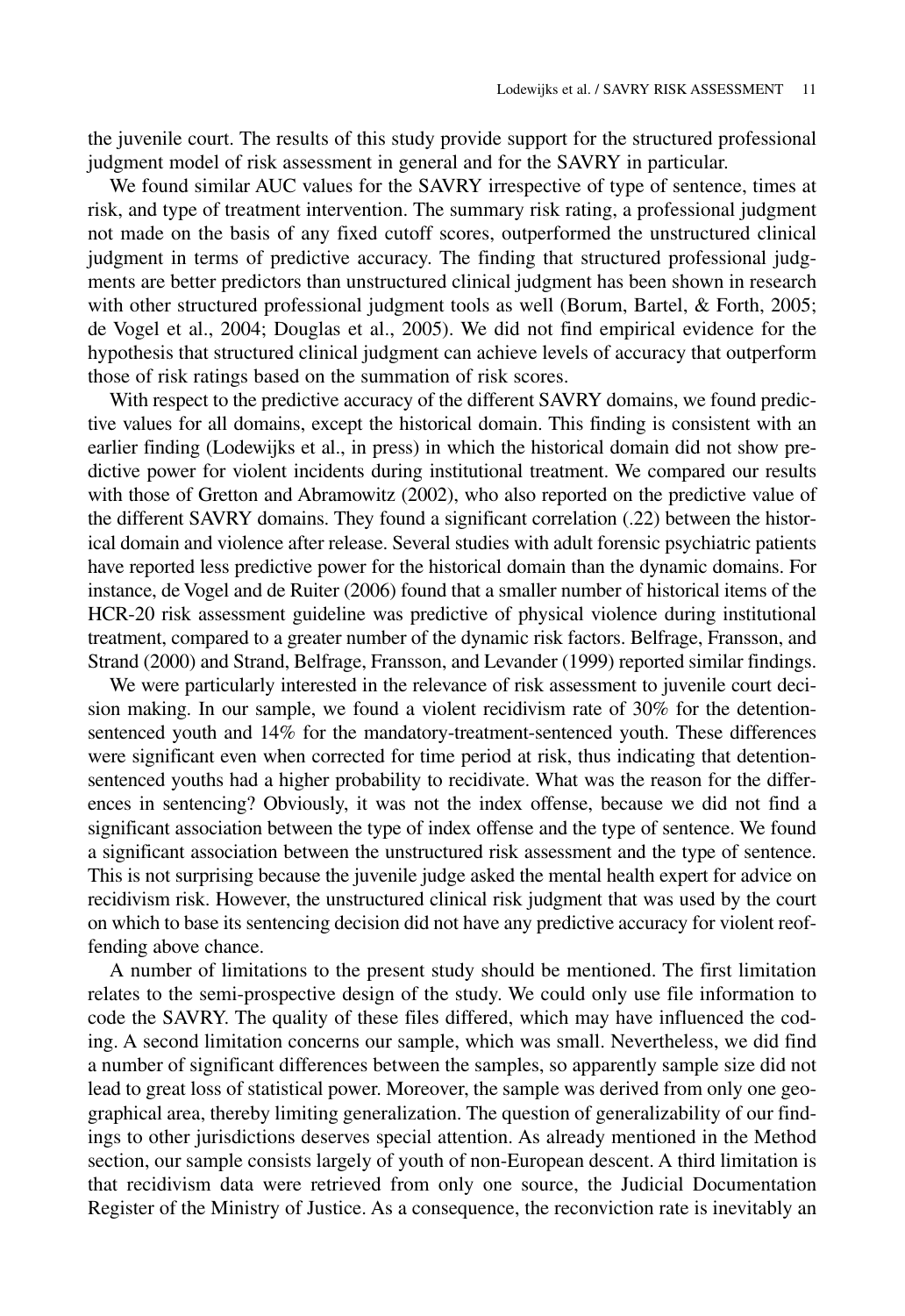the juvenile court. The results of this study provide support for the structured professional judgment model of risk assessment in general and for the SAVRY in particular.

We found similar AUC values for the SAVRY irrespective of type of sentence, times at risk, and type of treatment intervention. The summary risk rating, a professional judgment not made on the basis of any fixed cutoff scores, outperformed the unstructured clinical judgment in terms of predictive accuracy. The finding that structured professional judgments are better predictors than unstructured clinical judgment has been shown in research with other structured professional judgment tools as well (Borum, Bartel, & Forth, 2005; de Vogel et al., 2004; Douglas et al., 2005). We did not find empirical evidence for the hypothesis that structured clinical judgment can achieve levels of accuracy that outperform those of risk ratings based on the summation of risk scores.

With respect to the predictive accuracy of the different SAVRY domains, we found predictive values for all domains, except the historical domain. This finding is consistent with an earlier finding (Lodewijks et al., in press) in which the historical domain did not show predictive power for violent incidents during institutional treatment. We compared our results with those of Gretton and Abramowitz (2002), who also reported on the predictive value of the different SAVRY domains. They found a significant correlation (.22) between the historical domain and violence after release. Several studies with adult forensic psychiatric patients have reported less predictive power for the historical domain than the dynamic domains. For instance, de Vogel and de Ruiter (2006) found that a smaller number of historical items of the HCR-20 risk assessment guideline was predictive of physical violence during institutional treatment, compared to a greater number of the dynamic risk factors. Belfrage, Fransson, and Strand (2000) and Strand, Belfrage, Fransson, and Levander (1999) reported similar findings.

We were particularly interested in the relevance of risk assessment to juvenile court decision making. In our sample, we found a violent recidivism rate of 30% for the detentionsentenced youth and 14% for the mandatory-treatment-sentenced youth. These differences were significant even when corrected for time period at risk, thus indicating that detentionsentenced youths had a higher probability to recidivate. What was the reason for the differences in sentencing? Obviously, it was not the index offense, because we did not find a significant association between the type of index offense and the type of sentence. We found a significant association between the unstructured risk assessment and the type of sentence. This is not surprising because the juvenile judge asked the mental health expert for advice on recidivism risk. However, the unstructured clinical risk judgment that was used by the court on which to base its sentencing decision did not have any predictive accuracy for violent reoffending above chance.

A number of limitations to the present study should be mentioned. The first limitation relates to the semi-prospective design of the study. We could only use file information to code the SAVRY. The quality of these files differed, which may have influenced the coding. A second limitation concerns our sample, which was small. Nevertheless, we did find a number of significant differences between the samples, so apparently sample size did not lead to great loss of statistical power. Moreover, the sample was derived from only one geographical area, thereby limiting generalization. The question of generalizability of our findings to other jurisdictions deserves special attention. As already mentioned in the Method section, our sample consists largely of youth of non-European descent. A third limitation is that recidivism data were retrieved from only one source, the Judicial Documentation Register of the Ministry of Justice. As a consequence, the reconviction rate is inevitably an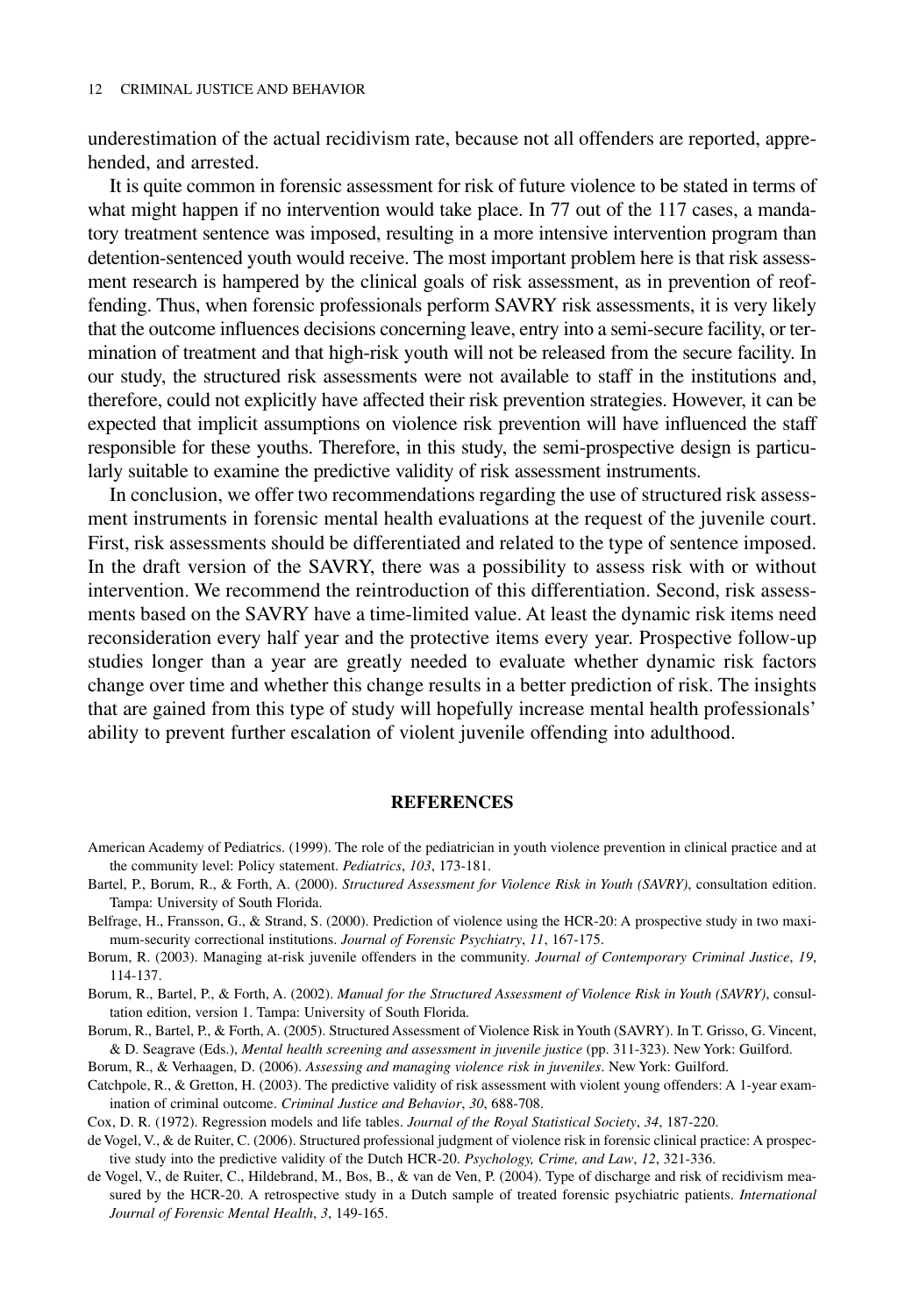underestimation of the actual recidivism rate, because not all offenders are reported, apprehended, and arrested.

It is quite common in forensic assessment for risk of future violence to be stated in terms of what might happen if no intervention would take place. In 77 out of the 117 cases, a mandatory treatment sentence was imposed, resulting in a more intensive intervention program than detention-sentenced youth would receive. The most important problem here is that risk assessment research is hampered by the clinical goals of risk assessment, as in prevention of reoffending. Thus, when forensic professionals perform SAVRY risk assessments, it is very likely that the outcome influences decisions concerning leave, entry into a semi-secure facility, or termination of treatment and that high-risk youth will not be released from the secure facility. In our study, the structured risk assessments were not available to staff in the institutions and, therefore, could not explicitly have affected their risk prevention strategies. However, it can be expected that implicit assumptions on violence risk prevention will have influenced the staff responsible for these youths. Therefore, in this study, the semi-prospective design is particularly suitable to examine the predictive validity of risk assessment instruments.

In conclusion, we offer two recommendations regarding the use of structured risk assessment instruments in forensic mental health evaluations at the request of the juvenile court. First, risk assessments should be differentiated and related to the type of sentence imposed. In the draft version of the SAVRY, there was a possibility to assess risk with or without intervention. We recommend the reintroduction of this differentiation. Second, risk assessments based on the SAVRY have a time-limited value. At least the dynamic risk items need reconsideration every half year and the protective items every year. Prospective follow-up studies longer than a year are greatly needed to evaluate whether dynamic risk factors change over time and whether this change results in a better prediction of risk. The insights that are gained from this type of study will hopefully increase mental health professionals' ability to prevent further escalation of violent juvenile offending into adulthood.

## **REFERENCES**

- American Academy of Pediatrics. (1999). The role of the pediatrician in youth violence prevention in clinical practice and at the community level: Policy statement. *Pediatrics*, *103*, 173-181.
- Bartel, P., Borum, R., & Forth, A. (2000). *Structured Assessment for Violence Risk in Youth (SAVRY)*, consultation edition. Tampa: University of South Florida.
- Belfrage, H., Fransson, G., & Strand, S. (2000). Prediction of violence using the HCR-20: A prospective study in two maximum-security correctional institutions. *Journal of Forensic Psychiatry*, *11*, 167-175.
- Borum, R. (2003). Managing at-risk juvenile offenders in the community. *Journal of Contemporary Criminal Justice*, *19*, 114-137.

Borum, R., Bartel, P., & Forth, A. (2002). *Manual for the Structured Assessment of Violence Risk in Youth (SAVRY)*, consultation edition, version 1. Tampa: University of South Florida.

- Borum, R., Bartel, P., & Forth, A. (2005). Structured Assessment of Violence Risk in Youth (SAVRY). In T. Grisso, G. Vincent, & D. Seagrave (Eds.), *Mental health screening and assessment in juvenile justice* (pp. 311-323). New York: Guilford.
- Borum, R., & Verhaagen, D. (2006). *Assessing and managing violence risk in juveniles*. New York: Guilford.
- Catchpole, R., & Gretton, H. (2003). The predictive validity of risk assessment with violent young offenders: A 1-year examination of criminal outcome. *Criminal Justice and Behavior*, *30*, 688-708.
- Cox, D. R. (1972). Regression models and life tables. *Journal of the Royal Statistical Society*, *34*, 187-220.
- de Vogel, V., & de Ruiter, C. (2006). Structured professional judgment of violence risk in forensic clinical practice: A prospective study into the predictive validity of the Dutch HCR-20. *Psychology, Crime, and Law*, *12*, 321-336.
- de Vogel, V., de Ruiter, C., Hildebrand, M., Bos, B., & van de Ven, P. (2004). Type of discharge and risk of recidivism measured by the HCR-20. A retrospective study in a Dutch sample of treated forensic psychiatric patients. *International Journal of Forensic Mental Health*, *3*, 149-165.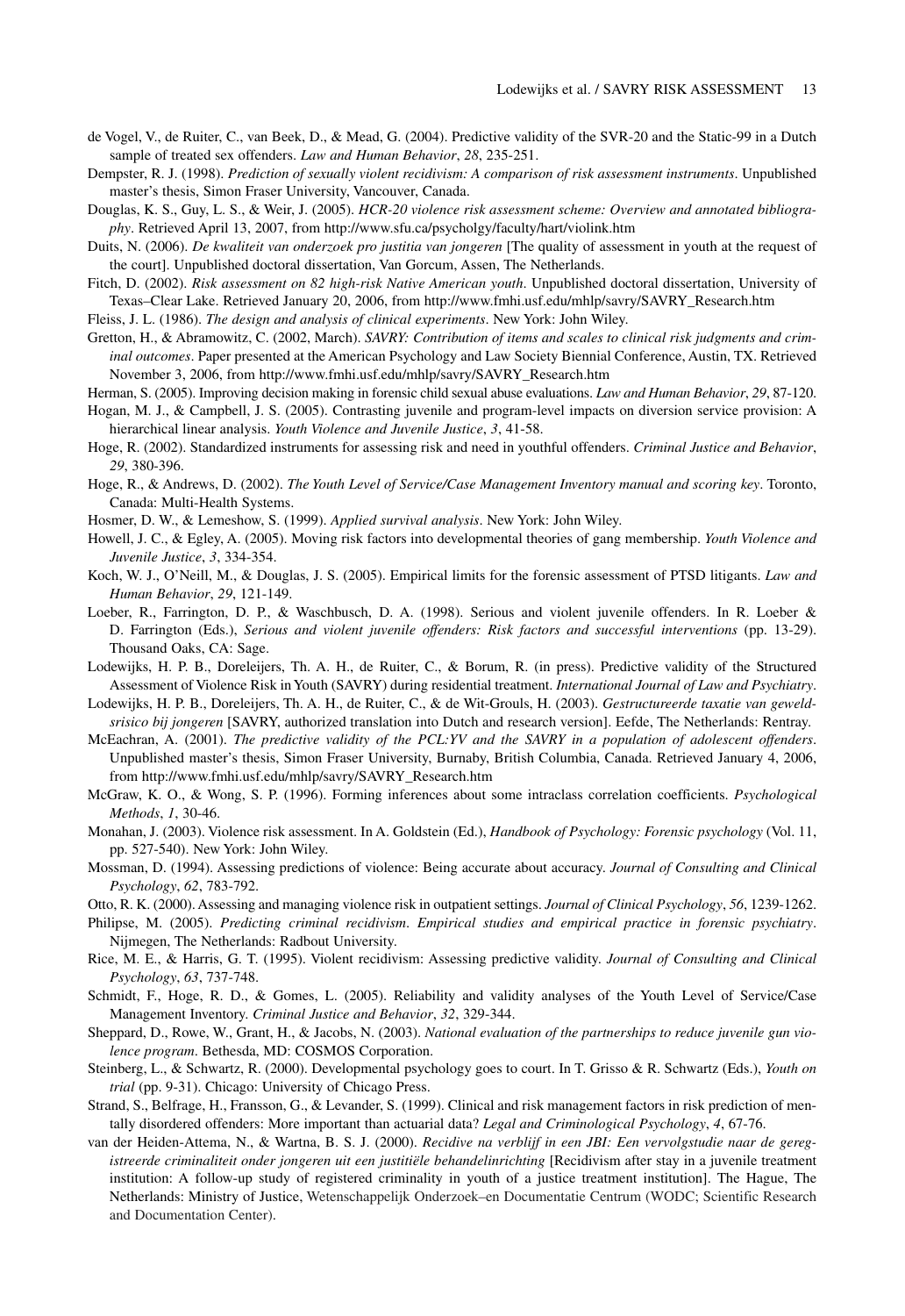- de Vogel, V., de Ruiter, C., van Beek, D., & Mead, G. (2004). Predictive validity of the SVR-20 and the Static-99 in a Dutch sample of treated sex offenders. *Law and Human Behavior*, *28*, 235-251.
- Dempster, R. J. (1998). *Prediction of sexually violent recidivism: A comparison of risk assessment instruments*. Unpublished master's thesis, Simon Fraser University, Vancouver, Canada.
- Douglas, K. S., Guy, L. S., & Weir, J. (2005). *HCR-20 violence risk assessment scheme: Overview and annotated bibliography*. Retrieved April 13, 2007, from http://www.sfu.ca/psycholgy/faculty/hart/violink.htm
- Duits, N. (2006). *De kwaliteit van onderzoek pro justitia van jongeren* [The quality of assessment in youth at the request of the court]. Unpublished doctoral dissertation, Van Gorcum, Assen, The Netherlands.
- Fitch, D. (2002). *Risk assessment on 82 high-risk Native American youth*. Unpublished doctoral dissertation, University of Texas–Clear Lake. Retrieved January 20, 2006, from http://www.fmhi.usf.edu/mhlp/savry/SAVRY\_Research.htm

Fleiss, J. L. (1986). *The design and analysis of clinical experiments*. New York: John Wiley.

- Gretton, H., & Abramowitz, C. (2002, March). *SAVRY: Contribution of items and scales to clinical risk judgments and criminal outcomes*. Paper presented at the American Psychology and Law Society Biennial Conference, Austin, TX. Retrieved November 3, 2006, from http://www.fmhi.usf.edu/mhlp/savry/SAVRY\_Research.htm
- Herman, S. (2005). Improving decision making in forensic child sexual abuse evaluations. *Law and Human Behavior*, *29*, 87-120.
- Hogan, M. J., & Campbell, J. S. (2005). Contrasting juvenile and program-level impacts on diversion service provision: A hierarchical linear analysis. *Youth Violence and Juvenile Justice*, *3*, 41-58.
- Hoge, R. (2002). Standardized instruments for assessing risk and need in youthful offenders. *Criminal Justice and Behavior*, *29*, 380-396.
- Hoge, R., & Andrews, D. (2002). *The Youth Level of Service/Case Management Inventory manual and scoring key*. Toronto, Canada: Multi-Health Systems.
- Hosmer, D. W., & Lemeshow, S. (1999). *Applied survival analysis*. New York: John Wiley.
- Howell, J. C., & Egley, A. (2005). Moving risk factors into developmental theories of gang membership. *Youth Violence and Juvenile Justice*, *3*, 334-354.
- Koch, W. J., O'Neill, M., & Douglas, J. S. (2005). Empirical limits for the forensic assessment of PTSD litigants. *Law and Human Behavior*, *29*, 121-149.
- Loeber, R., Farrington, D. P., & Waschbusch, D. A. (1998). Serious and violent juvenile offenders. In R. Loeber & D. Farrington (Eds.), *Serious and violent juvenile offenders: Risk factors and successful interventions* (pp. 13-29). Thousand Oaks, CA: Sage.
- Lodewijks, H. P. B., Doreleijers, Th. A. H., de Ruiter, C., & Borum, R. (in press). Predictive validity of the Structured Assessment of Violence Risk in Youth (SAVRY) during residential treatment. *International Journal of Law and Psychiatry*.
- Lodewijks, H. P. B., Doreleijers, Th. A. H., de Ruiter, C., & de Wit-Grouls, H. (2003). *Gestructureerde taxatie van geweldsrisico bij jongeren* [SAVRY, authorized translation into Dutch and research version]. Eefde, The Netherlands: Rentray.
- McEachran, A. (2001). *The predictive validity of the PCL:YV and the SAVRY in a population of adolescent offenders*. Unpublished master's thesis, Simon Fraser University, Burnaby, British Columbia, Canada. Retrieved January 4, 2006, from http://www.fmhi.usf.edu/mhlp/savry/SAVRY\_Research.htm
- McGraw, K. O., & Wong, S. P. (1996). Forming inferences about some intraclass correlation coefficients. *Psychological Methods*, *1*, 30-46.
- Monahan, J. (2003). Violence risk assessment. In A. Goldstein (Ed.), *Handbook of Psychology: Forensic psychology* (Vol. 11, pp. 527-540). New York: John Wiley.
- Mossman, D. (1994). Assessing predictions of violence: Being accurate about accuracy. *Journal of Consulting and Clinical Psychology*, *62*, 783-792.
- Otto, R. K. (2000). Assessing and managing violence risk in outpatient settings. *Journal of Clinical Psychology*, *56*, 1239-1262.
- Philipse, M. (2005). *Predicting criminal recidivism*. *Empirical studies and empirical practice in forensic psychiatry*. Nijmegen, The Netherlands: Radbout University.
- Rice, M. E., & Harris, G. T. (1995). Violent recidivism: Assessing predictive validity. *Journal of Consulting and Clinical Psychology*, *63*, 737-748.
- Schmidt, F., Hoge, R. D., & Gomes, L. (2005). Reliability and validity analyses of the Youth Level of Service/Case Management Inventory. *Criminal Justice and Behavior*, *32*, 329-344.
- Sheppard, D., Rowe, W., Grant, H., & Jacobs, N. (2003). *National evaluation of the partnerships to reduce juvenile gun violence program*. Bethesda, MD: COSMOS Corporation.
- Steinberg, L., & Schwartz, R. (2000). Developmental psychology goes to court. In T. Grisso & R. Schwartz (Eds.), *Youth on trial* (pp. 9-31). Chicago: University of Chicago Press.
- Strand, S., Belfrage, H., Fransson, G., & Levander, S. (1999). Clinical and risk management factors in risk prediction of mentally disordered offenders: More important than actuarial data? *Legal and Criminological Psychology*, *4*, 67-76.
- van der Heiden-Attema, N., & Wartna, B. S. J. (2000). *Recidive na verblijf in een JBI: Een vervolgstudie naar de geregistreerde criminaliteit onder jongeren uit een justitiële behandelinrichting* [Recidivism after stay in a juvenile treatment institution: A follow-up study of registered criminality in youth of a justice treatment institution]. The Hague, The Netherlands: Ministry of Justice, Wetenschappelijk Onderzoek–en Documentatie Centrum (WODC; Scientific Research and Documentation Center).